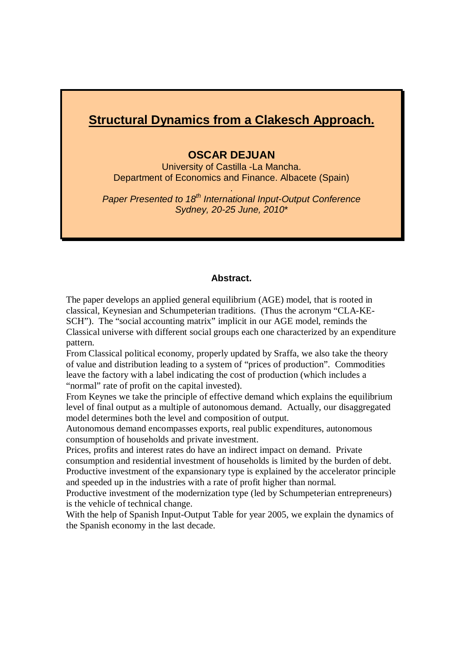# **Structural Dynamics from a Clakesch Approach.**

# **OSCAR DEJUAN**

University of Castilla -La Mancha. Department of Economics and Finance. Albacete (Spain)

.

*Paper Presented to 18th International Input-Output Conference Sydney, 20-25 June, 2010*\*

# **Abstract.**

The paper develops an applied general equilibrium (AGE) model, that is rooted in classical, Keynesian and Schumpeterian traditions. (Thus the acronym "CLA-KE-SCH"). The "social accounting matrix" implicit in our AGE model, reminds the Classical universe with different social groups each one characterized by an expenditure pattern.

From Classical political economy, properly updated by Sraffa, we also take the theory of value and distribution leading to a system of "prices of production". Commodities leave the factory with a label indicating the cost of production (which includes a "normal" rate of profit on the capital invested).

From Keynes we take the principle of effective demand which explains the equilibrium level of final output as a multiple of autonomous demand. Actually, our disaggregated model determines both the level and composition of output.

Autonomous demand encompasses exports, real public expenditures, autonomous consumption of households and private investment.

Prices, profits and interest rates do have an indirect impact on demand. Private consumption and residential investment of households is limited by the burden of debt. Productive investment of the expansionary type is explained by the accelerator principle and speeded up in the industries with a rate of profit higher than normal.

Productive investment of the modernization type (led by Schumpeterian entrepreneurs) is the vehicle of technical change.

With the help of Spanish Input-Output Table for year 2005, we explain the dynamics of the Spanish economy in the last decade.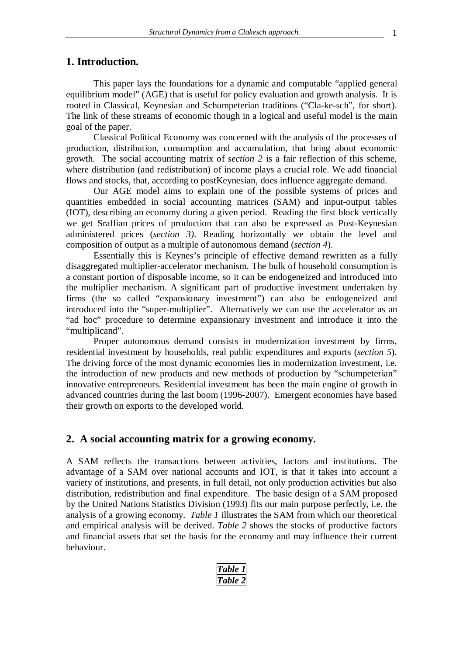# **1. Introduction.**

This paper lays the foundations for a dynamic and computable "applied general equilibrium model" (AGE) that is useful for policy evaluation and growth analysis. It is rooted in Classical, Keynesian and Schumpeterian traditions ("Cla-ke-sch", for short). The link of these streams of economic though in a logical and useful model is the main goal of the paper.

Classical Political Economy was concerned with the analysis of the processes of production, distribution, consumption and accumulation, that bring about economic growth. The social accounting matrix of *section 2* is a fair reflection of this scheme, where distribution (and redistribution) of income plays a crucial role. We add financial flows and stocks, that, according to postKeynesian, does influence aggregate demand.

Our AGE model aims to explain one of the possible systems of prices and quantities embedded in social accounting matrices (SAM) and input-output tables (IOT), describing an economy during a given period. Reading the first block vertically we get Sraffian prices of production that can also be expressed as Post-Keynesian administered prices (*section 3)*. Reading horizontally we obtain the level and composition of output as a multiple of autonomous demand (*section 4*).

Essentially this is Keynes's principle of effective demand rewritten as a fully disaggregated multiplier-accelerator mechanism. The bulk of household consumption is a constant portion of disposable income, so it can be endogeneized and introduced into the multiplier mechanism. A significant part of productive investment undertaken by firms (the so called "expansionary investment") can also be endogeneized and introduced into the "super-multiplier". Alternatively we can use the accelerator as an "ad hoc" procedure to determine expansionary investment and introduce it into the "multiplicand".

Proper autonomous demand consists in modernization investment by firms, residential investment by households, real public expenditures and exports (*section 5*). The driving force of the most dynamic economies lies in modernization investment, i.e. the introduction of new products and new methods of production by "schumpeterian" innovative entrepreneurs. Residential investment has been the main engine of growth in advanced countries during the last boom (1996-2007). Emergent economies have based their growth on exports to the developed world.

# **2. A social accounting matrix for a growing economy.**

A SAM reflects the transactions between activities, factors and institutions. The advantage of a SAM over national accounts and IOT, is that it takes into account a variety of institutions, and presents, in full detail, not only production activities but also distribution, redistribution and final expenditure. The basic design of a SAM proposed by the United Nations Statistics Division (1993) fits our main purpose perfectly, i.e. the analysis of a growing economy. *Table 1* illustrates the SAM from which our theoretical and empirical analysis will be derived. *Table 2* shows the stocks of productive factors and financial assets that set the basis for the economy and may influence their current behaviour.

> *Table 1 Table 2*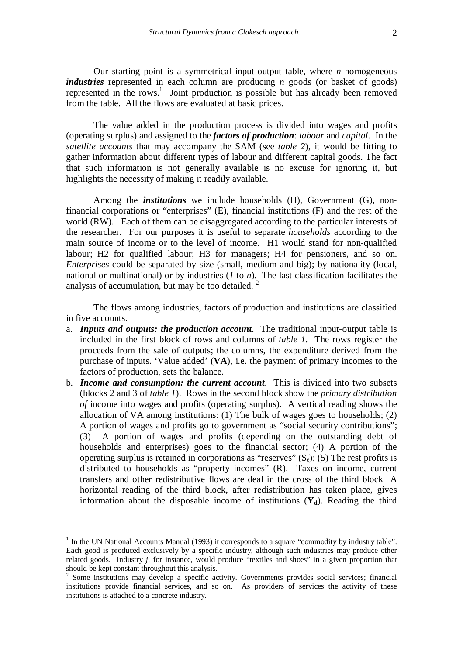from the table. All the flows are evaluated at basic prices.

Our starting point is a symmetrical input-output table, where *n* homogeneous *industries* represented in each column are producing *n* goods (or basket of goods) represented in the rows.<sup>1</sup> Joint production is possible but has already been removed

The value added in the production process is divided into wages and profits (operating surplus) and assigned to the *factors of production*: *labour* and *capital*. In the *satellite accounts* that may accompany the SAM (see *table 2*), it would be fitting to gather information about different types of labour and different capital goods. The fact that such information is not generally available is no excuse for ignoring it, but highlights the necessity of making it readily available.

Among the *institutions* we include households (H), Government (G), nonfinancial corporations or "enterprises" (E), financial institutions (F) and the rest of the world (RW). Each of them can be disaggregated according to the particular interests of the researcher. For our purposes it is useful to separate *households* according to the main source of income or to the level of income. H1 would stand for non-qualified labour; H2 for qualified labour; H3 for managers; H4 for pensioners, and so on. *Enterprises* could be separated by size (small, medium and big); by nationality (local, national or multinational) or by industries (*1* to *n*). The last classification facilitates the analysis of accumulation, but may be too detailed.<sup>2</sup>

The flows among industries, factors of production and institutions are classified in five accounts.

- a. *Inputs and outputs: the production account*. The traditional input-output table is included in the first block of rows and columns of *table 1*. The rows register the proceeds from the sale of outputs; the columns, the expenditure derived from the purchase of inputs. 'Value added' (**VA**), i.e. the payment of primary incomes to the factors of production, sets the balance.
- b. *Income and consumption: the current account*. This is divided into two subsets (blocks 2 and 3 of *table 1*). Rows in the second block show the *primary distribution of* income into wages and profits (operating surplus). A vertical reading shows the allocation of VA among institutions: (1) The bulk of wages goes to households; (2) A portion of wages and profits go to government as "social security contributions"; (3) A portion of wages and profits (depending on the outstanding debt of households and enterprises) goes to the financial sector; (4) A portion of the operating surplus is retained in corporations as "reserves"  $(S_e)$ ; (5) The rest profits is distributed to households as "property incomes" (R). Taxes on income, current transfers and other redistributive flows are deal in the cross of the third block A horizontal reading of the third block, after redistribution has taken place, gives information about the disposable income of institutions  $(Y_d)$ . Reading the third

 $\overline{a}$ 

<sup>&</sup>lt;sup>1</sup> In the UN National Accounts Manual (1993) it corresponds to a square "commodity by industry table". Each good is produced exclusively by a specific industry, although such industries may produce other related goods. Industry *j*, for instance, would produce "textiles and shoes" in a given proportion that should be kept constant throughout this analysis.

<sup>&</sup>lt;sup>2</sup> Some institutions may develop a specific activity. Governments provides social services; financial institutions provide financial services, and so on. As providers of services the activity of these institutions is attached to a concrete industry.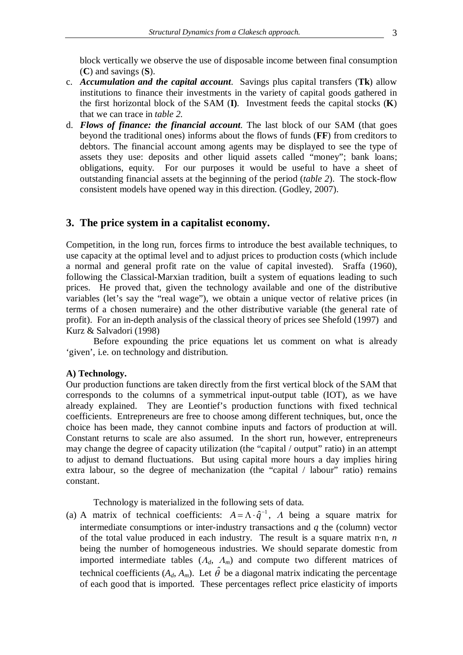block vertically we observe the use of disposable income between final consumption (**C**) and savings (**S**).

- c. *Accumulation and the capital account*. Savings plus capital transfers (**Tk**) allow institutions to finance their investments in the variety of capital goods gathered in the first horizontal block of the SAM (**I)***.* Investment feeds the capital stocks (**K**) that we can trace in *table 2.*
- d. *Flows of finance: the financial account*. The last block of our SAM (that goes beyond the traditional ones) informs about the flows of funds (**FF**) from creditors to debtors. The financial account among agents may be displayed to see the type of assets they use: deposits and other liquid assets called "money"; bank loans; obligations, equity. For our purposes it would be useful to have a sheet of outstanding financial assets at the beginning of the period (*table 2*). The stock-flow consistent models have opened way in this direction. (Godley, 2007).

# **3. The price system in a capitalist economy.**

Competition, in the long run, forces firms to introduce the best available techniques, to use capacity at the optimal level and to adjust prices to production costs (which include a normal and general profit rate on the value of capital invested). Sraffa (1960), following the Classical-Marxian tradition, built a system of equations leading to such prices. He proved that, given the technology available and one of the distributive variables (let's say the "real wage"), we obtain a unique vector of relative prices (in terms of a chosen numeraire) and the other distributive variable (the general rate of profit). For an in-depth analysis of the classical theory of prices see Shefold (1997) and Kurz & Salvadori (1998)

Before expounding the price equations let us comment on what is already 'given', i.e. on technology and distribution.

#### **A) Technology.**

Our production functions are taken directly from the first vertical block of the SAM that corresponds to the columns of a symmetrical input-output table (IOT), as we have already explained. They are Leontief's production functions with fixed technical coefficients. Entrepreneurs are free to choose among different techniques, but, once the choice has been made, they cannot combine inputs and factors of production at will. Constant returns to scale are also assumed. In the short run, however, entrepreneurs may change the degree of capacity utilization (the "capital / output" ratio) in an attempt to adjust to demand fluctuations. But using capital more hours a day implies hiring extra labour, so the degree of mechanization (the "capital / labour" ratio) remains constant.

Technology is materialized in the following sets of data.

(a) A matrix of technical coefficients:  $A = \Lambda \cdot \hat{q}^{-1}$ , A being a square matrix for intermediate consumptions or inter-industry transactions and *q* the (column) vector of the total value produced in each industry. The result is a square matrix n·n, *n* being the number of homogeneous industries. We should separate domestic from imported intermediate tables  $(A_d, A_m)$  and compute two different matrices of technical coefficients  $(A_d, A_m)$ . Let  $\hat{\theta}$  be a diagonal matrix indicating the percentage of each good that is imported. These percentages reflect price elasticity of imports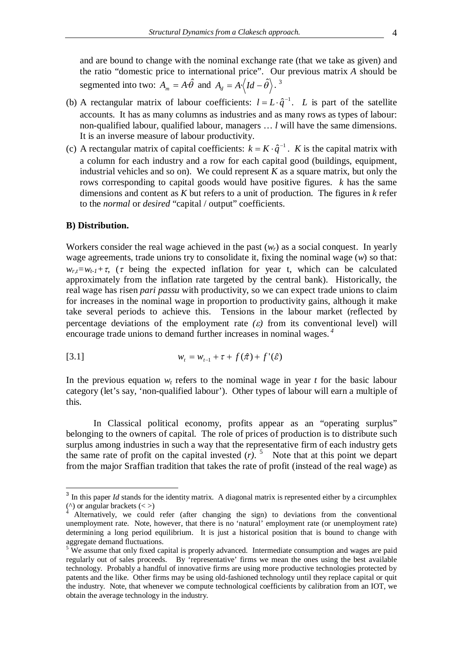and are bound to change with the nominal exchange rate (that we take as given) and the ratio "domestic price to international price". Our previous matrix *A* should be segmented into two:  $A_m = A \cdot \hat{\theta}$  and  $A_d = A \cdot \langle Id - \hat{\theta} \rangle$ .<sup>3</sup>

- (b) A rectangular matrix of labour coefficients:  $l = L \cdot \hat{q}^{-1}$ . *L* is part of the satellite accounts. It has as many columns as industries and as many rows as types of labour: non-qualified labour, qualified labour, managers … *l* will have the same dimensions. It is an inverse measure of labour productivity.
- (c) A rectangular matrix of capital coefficients:  $k = K \cdot \hat{q}^{-1}$ . *K* is the capital matrix with a column for each industry and a row for each capital good (buildings, equipment, industrial vehicles and so on). We could represent  $K$  as a square matrix, but only the rows corresponding to capital goods would have positive figures. *k* has the same dimensions and content as *K* but refers to a unit of production. The figures in *k* refer to the *normal* or *desired* "capital / output" coefficients.

#### **B) Distribution.**

 $\overline{\phantom{a}}$ 

Workers consider the real wage achieved in the past  $(w_r)$  as a social conquest. In yearly wage agreements, trade unions try to consolidate it, fixing the nominal wage (*w*) so that:  $w_{rt} = w_{t} + \tau$ , ( $\tau$  being the expected inflation for year t, which can be calculated approximately from the inflation rate targeted by the central bank). Historically, the real wage has risen *pari passu* with productivity, so we can expect trade unions to claim for increases in the nominal wage in proportion to productivity gains, although it make take several periods to achieve this. Tensions in the labour market (reflected by percentage deviations of the employment rate  $(\varepsilon)$  from its conventional level) will encourage trade unions to demand further increases in nominal wages. *<sup>4</sup>*

[3.1] 
$$
w_{t} = w_{t-1} + \tau + f(\hat{\pi}) + f'(\hat{\varepsilon})
$$

In the previous equation  $w_t$  refers to the nominal wage in year  $t$  for the basic labour category (let's say, 'non-qualified labour'). Other types of labour will earn a multiple of this.

In Classical political economy, profits appear as an "operating surplus" belonging to the owners of capital. The role of prices of production is to distribute such surplus among industries in such a way that the representative firm of each industry gets the same rate of profit on the capital invested  $(r)$ .<sup>5</sup> Note that at this point we depart from the major Sraffian tradition that takes the rate of profit (instead of the real wage) as

<sup>&</sup>lt;sup>3</sup> In this paper *Id* stands for the identity matrix. A diagonal matrix is represented either by a circumphlex ( $\binom{\wedge}{4}$  or angular brackets  $(\langle > \rangle)^4$ 

Alternatively, we could refer (after changing the sign) to deviations from the conventional unemployment rate. Note, however, that there is no 'natural' employment rate (or unemployment rate) determining a long period equilibrium. It is just a historical position that is bound to change with aggregate demand fluctuations.

<sup>&</sup>lt;sup>5</sup> We assume that only fixed capital is properly advanced. Intermediate consumption and wages are paid regularly out of sales proceeds. By 'representative' firms we mean the ones using the best available technology. Probably a handful of innovative firms are using more productive technologies protected by patents and the like. Other firms may be using old-fashioned technology until they replace capital or quit the industry. Note, that whenever we compute technological coefficients by calibration from an IOT, we obtain the average technology in the industry.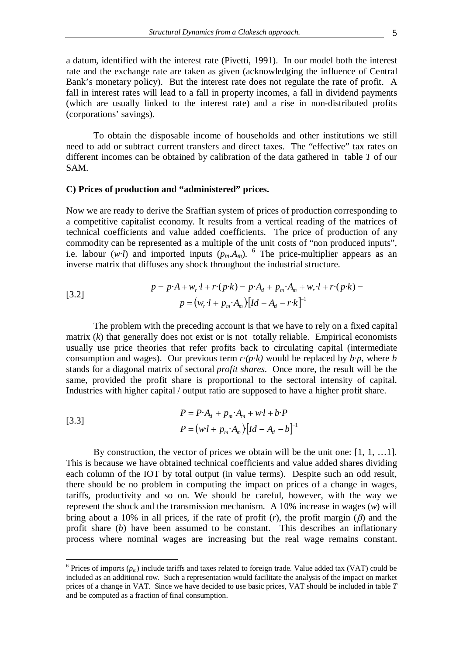a datum, identified with the interest rate (Pivetti, 1991). In our model both the interest rate and the exchange rate are taken as given (acknowledging the influence of Central Bank's monetary policy). But the interest rate does not regulate the rate of profit. A fall in interest rates will lead to a fall in property incomes, a fall in dividend payments (which are usually linked to the interest rate) and a rise in non-distributed profits (corporations' savings).

To obtain the disposable income of households and other institutions we still need to add or subtract current transfers and direct taxes. The "effective" tax rates on different incomes can be obtained by calibration of the data gathered in table *T* of our SAM.

#### **C) Prices of production and "administered" prices.**

Now we are ready to derive the Sraffian system of prices of production corresponding to a competitive capitalist economy. It results from a vertical reading of the matrices of technical coefficients and value added coefficients. The price of production of any commodity can be represented as a multiple of the unit costs of "non produced inputs", i.e. labour (*w·l*) and imported inputs  $(p_m.A_m)$ . <sup>6</sup> The price-multiplier appears as an inverse matrix that diffuses any shock throughout the industrial structure.

[3.2]  

$$
p = p \cdot A + w_r \cdot l + r \cdot (p \cdot k) = p \cdot A_d + p_m \cdot A_m + w_r \cdot l + r \cdot (p \cdot k) =
$$

$$
p = (w_r \cdot l + p_m \cdot A_m) [Id - A_d - r \cdot k]^{-1}
$$

The problem with the preceding account is that we have to rely on a fixed capital matrix  $(k)$  that generally does not exist or is not totally reliable. Empirical economists usually use price theories that refer profits back to circulating capital (intermediate consumption and wages). Our previous term  $r \cdot (p \cdot k)$  would be replaced by  $b \cdot p$ , where *b* stands for a diagonal matrix of sectoral *profit shares*. Once more, the result will be the same, provided the profit share is proportional to the sectoral intensity of capital. Industries with higher capital / output ratio are supposed to have a higher profit share.

[3.3]  

$$
P = P \cdot A_d + p_m \cdot A_m + w \cdot l + b \cdot P
$$

$$
P = (w \cdot l + p_m \cdot A_m) [Id - A_d - b]^{-1}
$$

 $\overline{a}$ 

By construction, the vector of prices we obtain will be the unit one: [1, 1, …1]. This is because we have obtained technical coefficients and value added shares dividing each column of the IOT by total output (in value terms). Despite such an odd result, there should be no problem in computing the impact on prices of a change in wages, tariffs, productivity and so on. We should be careful, however, with the way we represent the shock and the transmission mechanism. A 10% increase in wages (*w*) will bring about a 10% in all prices, if the rate of profit  $(r)$ , the profit margin  $(\beta)$  and the profit share (*b*) have been assumed to be constant. This describes an inflationary process where nominal wages are increasing but the real wage remains constant.

 $6$  Prices of imports  $(p_m)$  include tariffs and taxes related to foreign trade. Value added tax (VAT) could be included as an additional row. Such a representation would facilitate the analysis of the impact on market prices of a change in VAT. Since we have decided to use basic prices, VAT should be included in table *T*  and be computed as a fraction of final consumption.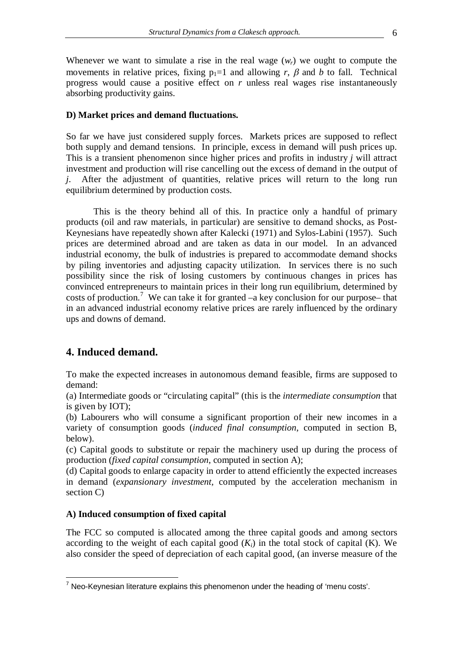Whenever we want to simulate a rise in the real wage  $(w_r)$  we ought to compute the movements in relative prices, fixing  $p_1=1$  and allowing r,  $\beta$  and b to fall. Technical progress would cause a positive effect on *r* unless real wages rise instantaneously absorbing productivity gains.

### **D) Market prices and demand fluctuations.**

So far we have just considered supply forces. Markets prices are supposed to reflect both supply and demand tensions. In principle, excess in demand will push prices up. This is a transient phenomenon since higher prices and profits in industry *j* will attract investment and production will rise cancelling out the excess of demand in the output of *j*. After the adjustment of quantities, relative prices will return to the long run equilibrium determined by production costs.

This is the theory behind all of this. In practice only a handful of primary products (oil and raw materials, in particular) are sensitive to demand shocks, as Post-Keynesians have repeatedly shown after Kalecki (1971) and Sylos-Labini (1957). Such prices are determined abroad and are taken as data in our model. In an advanced industrial economy, the bulk of industries is prepared to accommodate demand shocks by piling inventories and adjusting capacity utilization. In services there is no such possibility since the risk of losing customers by continuous changes in prices has convinced entrepreneurs to maintain prices in their long run equilibrium, determined by costs of production.<sup>7</sup> We can take it for granted  $-a$  key conclusion for our purpose– that in an advanced industrial economy relative prices are rarely influenced by the ordinary ups and downs of demand.

# **4. Induced demand.**

To make the expected increases in autonomous demand feasible, firms are supposed to demand:

(a) Intermediate goods or "circulating capital" (this is the *intermediate consumption* that is given by IOT);

(b) Labourers who will consume a significant proportion of their new incomes in a variety of consumption goods (*induced final consumption*, computed in section B, below).

(c) Capital goods to substitute or repair the machinery used up during the process of production (*fixed capital consumption*, computed in section A);

(d) Capital goods to enlarge capacity in order to attend efficiently the expected increases in demand (*expansionary investment,* computed by the acceleration mechanism in section C)

# **A) Induced consumption of fixed capital**

The FCC so computed is allocated among the three capital goods and among sectors according to the weight of each capital good  $(K_i)$  in the total stock of capital  $(K)$ . We also consider the speed of depreciation of each capital good, (an inverse measure of the

 $\overline{a}$  $7$  Neo-Keynesian literature explains this phenomenon under the heading of 'menu costs'.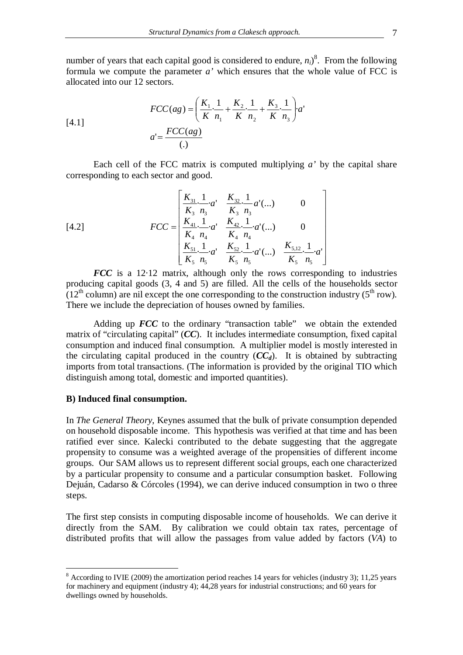number of years that each capital good is considered to endure,  $n_i$ <sup>8</sup>. From the following formula we compute the parameter  $a'$  which ensures that the whole value of FCC is allocated into our 12 sectors.

[4.1]  

$$
FCC(ag) = \left(\frac{K_1}{K} \cdot \frac{1}{n_1} + \frac{K_2}{K} \cdot \frac{1}{n_2} + \frac{K_3}{K} \cdot \frac{1}{n_3}\right) a'
$$

$$
a' = \frac{FCC(ag)}{(.)}
$$

Each cell of the FCC matrix is computed multiplying *a'* by the capital share corresponding to each sector and good.

[4.2] 
$$
FCC = \begin{bmatrix} \frac{K_{31}}{K_3} & \frac{1}{n_3} & \frac{K_{32}}{K_3} & \frac{1}{n_3} & a'(\ldots) & 0\\ \frac{K_{41}}{K_4} & \frac{1}{n_4} & \frac{K_{42}}{K_4} & \frac{1}{n_4} & a'(\ldots) & 0\\ \frac{K_{51}}{K_5} & \frac{1}{n_5} & \frac{K_{52}}{K_5} & \frac{1}{n_5} & a'(\ldots) & \frac{K_{5,12}}{K_5} & \frac{1}{n_5} & a' \end{bmatrix}
$$

*FCC* is a 12.12 matrix, although only the rows corresponding to industries producing capital goods (3, 4 and 5) are filled. All the cells of the households sector  $(12<sup>th</sup>$  column) are nil except the one corresponding to the construction industry (5<sup>th</sup> row). There we include the depreciation of houses owned by families.

 $\overline{\phantom{a}}$  $\overline{\phantom{a}}$  $\overline{\phantom{a}}$  $\overline{\phantom{a}}$  $\overline{\phantom{a}}$  $\overline{\phantom{a}}$  $\overline{\phantom{a}}$ 

 $\overline{\phantom{a}}$ 

 $\overline{\phantom{a}}$ 

Adding up *FCC* to the ordinary "transaction table" we obtain the extended matrix of "circulating capital" (*CC*). It includes intermediate consumption, fixed capital consumption and induced final consumption. A multiplier model is mostly interested in the circulating capital produced in the country  $(CC_d)$ . It is obtained by subtracting imports from total transactions. (The information is provided by the original TIO which distinguish among total, domestic and imported quantities).

# **B) Induced final consumption.**

In *The General Theory*, Keynes assumed that the bulk of private consumption depended on household disposable income. This hypothesis was verified at that time and has been ratified ever since. Kalecki contributed to the debate suggesting that the aggregate propensity to consume was a weighted average of the propensities of different income groups. Our SAM allows us to represent different social groups, each one characterized by a particular propensity to consume and a particular consumption basket. Following Dejuán, Cadarso & Córcoles (1994), we can derive induced consumption in two o three steps.

The first step consists in computing disposable income of households. We can derive it directly from the SAM. By calibration we could obtain tax rates, percentage of distributed profits that will allow the passages from value added by factors (*VA*) to

<sup>&</sup>lt;sup>8</sup> According to IVIE (2009) the amortization period reaches 14 years for vehicles (industry 3); 11,25 years for machinery and equipment (industry 4); 44,28 years for industrial constructions; and 60 years for dwellings owned by households.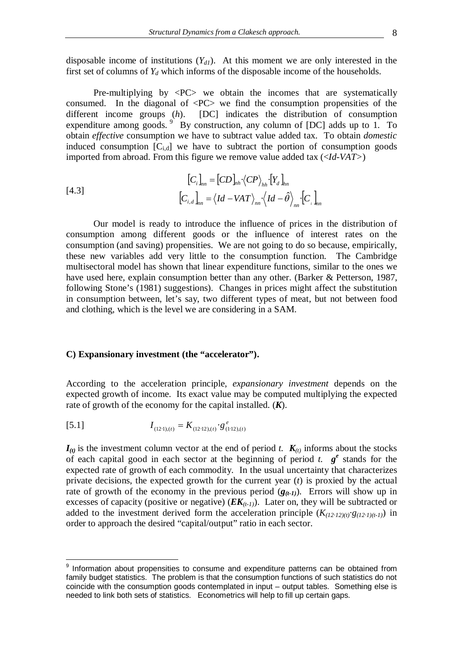disposable income of institutions (*Yd1*). At this moment we are only interested in the first set of columns of  $Y_d$  which informs of the disposable income of the households.

Pre-multiplying by  $\langle PC \rangle$  we obtain the incomes that are systematically consumed. In the diagonal of  $\langle PC \rangle$  we find the consumption propensities of the different income groups (*h*). [DC] indicates the distribution of consumption expenditure among goods.  $9$  By construction, any column of [DC] adds up to 1. To obtain *effective* consumption we have to subtract value added tax. To obtain *domestic*  induced consumption  $[C_{i,d}]$  we have to subtract the portion of consumption goods imported from abroad. From this figure we remove value added tax (<*Id-VAT>*)

$$
[C_i]_{nn} = [CD]_{nh} \langle CP \rangle_{hh} \cdot [Y_d]_{hn}
$$
  
[4.3]  

$$
[C_{i,d}]_{nn} = \langle Id - VAT \rangle_{nn} \cdot \langle Id - \hat{\theta} \rangle_{nn} \cdot [C_i]_{nn}
$$

Our model is ready to introduce the influence of prices in the distribution of consumption among different goods or the influence of interest rates on the consumption (and saving) propensities. We are not going to do so because, empirically, these new variables add very little to the consumption function. The Cambridge multisectoral model has shown that linear expenditure functions, similar to the ones we have used here, explain consumption better than any other. (Barker & Petterson, 1987, following Stone's (1981) suggestions). Changes in prices might affect the substitution in consumption between, let's say, two different types of meat, but not between food and clothing, which is the level we are considering in a SAM.

### **C) Expansionary investment (the "accelerator").**

According to the acceleration principle, *expansionary investment* depends on the expected growth of income. Its exact value may be computed multiplying the expected rate of growth of the economy for the capital installed. (*K*).

[5.1] 
$$
I_{(12\cdot 1),(t)} = K_{(12\cdot 12),(t)} \cdot g_{(1\cdot 12),(t)}^e
$$

 $\overline{a}$ 

 $I_{(t)}$  is the investment column vector at the end of period *t.*  $K_{(t)}$  informs about the stocks of each capital good in each sector at the beginning of period *t.*  $g^e$  stands for the expected rate of growth of each commodity. In the usual uncertainty that characterizes private decisions, the expected growth for the current year (*t*) is proxied by the actual rate of growth of the economy in the previous period  $(g_{(t-1)})$ . Errors will show up in excesses of capacity (positive or negative)  $(EK_{(t-1)})$ . Later on, they will be subtracted or added to the investment derived form the acceleration principle  $(K_{(12 \cdot 12)(t)}, g_{(12 \cdot 1)(t-1)})$  in order to approach the desired "capital/output" ratio in each sector.

<sup>&</sup>lt;sup>9</sup> Information about propensities to consume and expenditure patterns can be obtained from family budget statistics. The problem is that the consumption functions of such statistics do not coincide with the consumption goods contemplated in input – output tables. Something else is needed to link both sets of statistics. Econometrics will help to fill up certain gaps.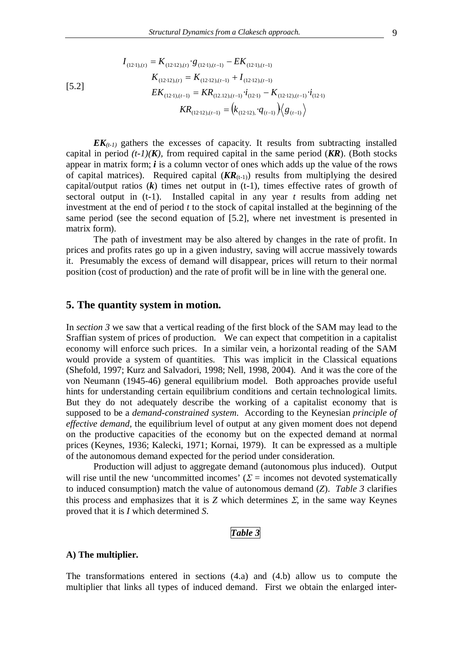$$
I_{(12\cdot1),(t)} = K_{(12\cdot12),(t)} \cdot g_{(12\cdot1),(t-1)} - EK_{(12\cdot1),(t-1)}
$$
  
\n
$$
K_{(12\cdot12),(t)} = K_{(12\cdot12),(t-1)} + I_{(12\cdot12),(t-1)}
$$
  
\n
$$
EK_{(12\cdot1),(t-1)} = KR_{(12\cdot12),(t-1)} \cdot i_{(12\cdot1)} - K_{(12\cdot12),(t-1)} \cdot i_{(12\cdot1)}
$$
  
\n
$$
KR_{(12\cdot12),(t-1)} = (k_{(12\cdot12)}, q_{(t-1)}) / g_{(t-1)}
$$

 $EK_{(t-1)}$  gathers the excesses of capacity. It results from subtracting installed capital in period  $(t-1)(K)$ , from required capital in the same period  $(KR)$ . (Both stocks appear in matrix form; *i* is a column vector of ones which adds up the value of the rows of capital matrices). Required capital  $(KR_{(t-1)})$  results from multiplying the desired capital/output ratios  $(k)$  times net output in  $(t-1)$ , times effective rates of growth of sectoral output in (t-1). Installed capital in any year *t* results from adding net investment at the end of period *t* to the stock of capital installed at the beginning of the same period (see the second equation of [5.2], where net investment is presented in matrix form).

The path of investment may be also altered by changes in the rate of profit. In prices and profits rates go up in a given industry, saving will accrue massively towards it. Presumably the excess of demand will disappear, prices will return to their normal position (cost of production) and the rate of profit will be in line with the general one.

# **5. The quantity system in motion.**

In *section 3* we saw that a vertical reading of the first block of the SAM may lead to the Sraffian system of prices of production. We can expect that competition in a capitalist economy will enforce such prices. In a similar vein, a horizontal reading of the SAM would provide a system of quantities. This was implicit in the Classical equations (Shefold, 1997; Kurz and Salvadori, 1998; Nell, 1998, 2004). And it was the core of the von Neumann (1945-46) general equilibrium model. Both approaches provide useful hints for understanding certain equilibrium conditions and certain technological limits. But they do not adequately describe the working of a capitalist economy that is supposed to be a *demand-constrained system*. According to the Keynesian *principle of effective demand,* the equilibrium level of output at any given moment does not depend on the productive capacities of the economy but on the expected demand at normal prices (Keynes, 1936; Kalecki, 1971; Kornai, 1979). It can be expressed as a multiple of the autonomous demand expected for the period under consideration.

Production will adjust to aggregate demand (autonomous plus induced). Output will rise until the new 'uncommitted incomes' ( $\Sigma$  = incomes not devoted systematically to induced consumption) match the value of autonomous demand (*Z*). *Table 3* clarifies this process and emphasizes that it is  $Z$  which determines  $\Sigma$ , in the same way Keynes proved that it is *I* which determined *S*.

#### *Table 3*

#### **A) The multiplier.**

The transformations entered in sections (4.a) and (4.b) allow us to compute the multiplier that links all types of induced demand. First we obtain the enlarged inter-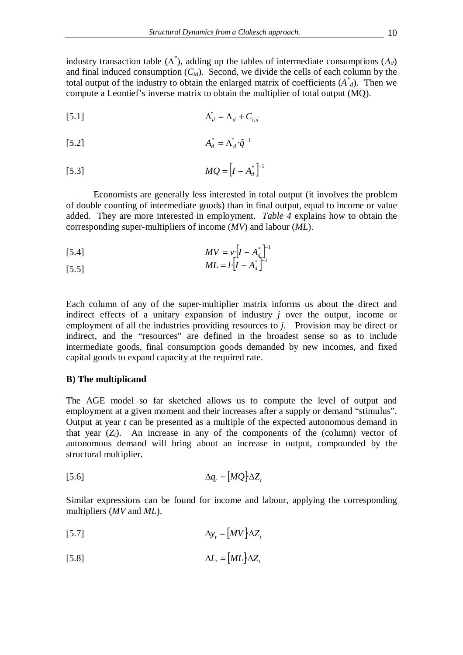industry transaction table  $(\Lambda^*)$ , adding up the tables of intermediate consumptions  $(\Lambda_d)$ and final induced consumption  $(C_{id})$ . Second, we divide the cells of each column by the total output of the industry to obtain the enlarged matrix of coefficients  $(A^*_{d})$ . Then we compute a Leontief's inverse matrix to obtain the multiplier of total output (MQ).

$$
\Lambda_d^* = \Lambda_d + C_{i,d}
$$

$$
A_d^* = \Lambda_d^* \cdot \hat{q}^{-1}
$$

$$
MQ = \left[I - A_d^*\right]^{-1}
$$

Economists are generally less interested in total output (it involves the problem of double counting of intermediate goods) than in final output, equal to income or value added. They are more interested in employment. *Table 4* explains how to obtain the corresponding super-multipliers of income (*MV*) and labour (*ML*).

[5.4] 
$$
MV = v \left[ I - A_{d}^* \right]^{-1}
$$

[5.5] 
$$
ML = l \cdot [I - A_d^*]^{-1}
$$

Each column of any of the super-multiplier matrix informs us about the direct and indirect effects of a unitary expansion of industry *j* over the output, income or employment of all the industries providing resources to *j*. Provision may be direct or indirect, and the "resources" are defined in the broadest sense so as to include intermediate goods, final consumption goods demanded by new incomes, and fixed capital goods to expand capacity at the required rate.

# **B) The multiplicand**

The AGE model so far sketched allows us to compute the level of output and employment at a given moment and their increases after a supply or demand "stimulus". Output at year *t* can be presented as a multiple of the expected autonomous demand in that year  $(Z_t)$ . An increase in any of the components of the (column) vector of autonomous demand will bring about an increase in output, compounded by the structural multiplier.

$$
\Delta q_t = [MQ]\Delta Z_t
$$

Similar expressions can be found for income and labour, applying the corresponding multipliers (*MV* and *ML*).

$$
\Delta y_t = [MV] \Delta Z_t
$$

$$
\Delta L_t = [ML] \Delta Z_t
$$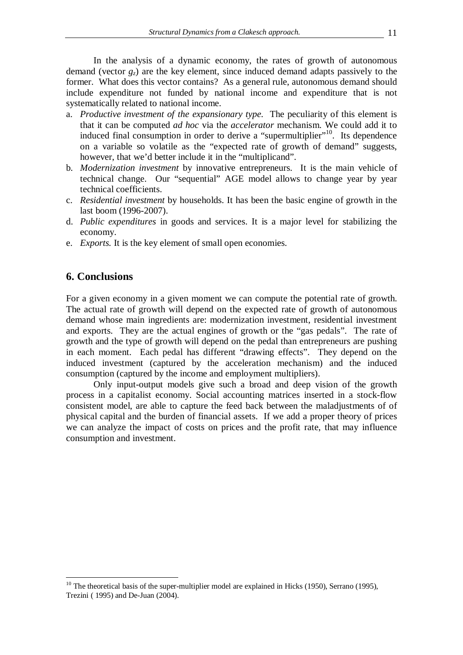In the analysis of a dynamic economy, the rates of growth of autonomous demand (vector *gz*) are the key element, since induced demand adapts passively to the former. What does this vector contains? As a general rule, autonomous demand should include expenditure not funded by national income and expenditure that is not systematically related to national income.

- a. *Productive investment of the expansionary type*. The peculiarity of this element is that it can be computed *ad hoc* via the *accelerator* mechanism. We could add it to induced final consumption in order to derive a "supermultiplier"<sup>10</sup>. Its dependence on a variable so volatile as the "expected rate of growth of demand" suggests, however, that we'd better include it in the "multiplicand".
- b. *Modernization investment* by innovative entrepreneurs. It is the main vehicle of technical change. Our "sequential" AGE model allows to change year by year technical coefficients.
- c. *Residential investment* by households. It has been the basic engine of growth in the last boom (1996-2007).
- d. *Public expenditures* in goods and services. It is a major level for stabilizing the economy.
- e. *Exports.* It is the key element of small open economies.

# **6. Conclusions**

 $\overline{a}$ 

For a given economy in a given moment we can compute the potential rate of growth. The actual rate of growth will depend on the expected rate of growth of autonomous demand whose main ingredients are: modernization investment, residential investment and exports. They are the actual engines of growth or the "gas pedals". The rate of growth and the type of growth will depend on the pedal than entrepreneurs are pushing in each moment. Each pedal has different "drawing effects". They depend on the induced investment (captured by the acceleration mechanism) and the induced consumption (captured by the income and employment multipliers).

Only input-output models give such a broad and deep vision of the growth process in a capitalist economy. Social accounting matrices inserted in a stock-flow consistent model, are able to capture the feed back between the maladjustments of of physical capital and the burden of financial assets. If we add a proper theory of prices we can analyze the impact of costs on prices and the profit rate, that may influence consumption and investment.

 $10$  The theoretical basis of the super-multiplier model are explained in Hicks (1950), Serrano (1995), Trezini ( 1995) and De-Juan (2004).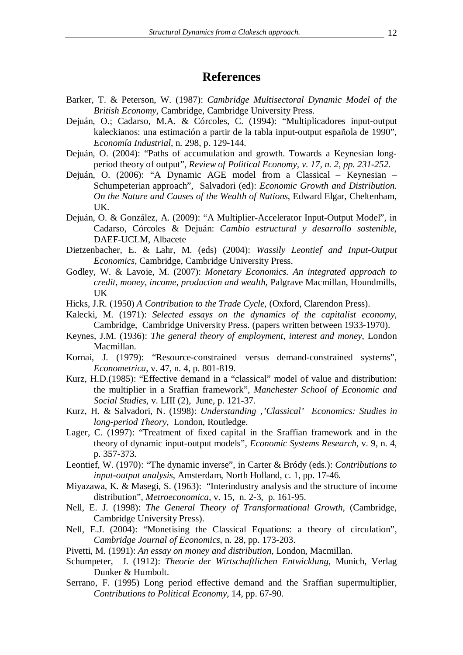# **References**

- Barker, T. & Peterson, W. (1987): *Cambridge Multisectoral Dynamic Model of the British Economy*, Cambridge, Cambridge University Press.
- Dejuán, O.; Cadarso, M.A. & Córcoles, C. (1994): "Multiplicadores input-output kaleckianos: una estimación a partir de la tabla input-output española de 1990", *Economía Industrial*, n. 298, p. 129-144.
- Dejuán, O. (2004): "Paths of accumulation and growth. Towards a Keynesian longperiod theory of output", *Review of Political Economy, v. 17, n. 2, pp. 231-252*.
- Dejuán, O. (2006): "A Dynamic AGE model from a Classical Keynesian Schumpeterian approach", Salvadori (ed): *Economic Growth and Distribution. On the Nature and Causes of the Wealth of Nations*, Edward Elgar, Cheltenham, UK.
- Dejuán, O. & González, A. (2009): "A Multiplier-Accelerator Input-Output Model", in Cadarso, Córcoles & Dejuán: *Cambio estructural y desarrollo sostenible*, DAEF-UCLM, Albacete
- Dietzenbacher, E. & Lahr, M. (eds) (2004): *Wassily Leontief and Input-Output Economics*, Cambridge, Cambridge University Press.
- Godley, W. & Lavoie, M. (2007): *Monetary Economics. An integrated approach to credit, money, income, production and wealth*, Palgrave Macmillan, Houndmills, UK
- Hicks, J.R. (1950) *A Contribution to the Trade Cycle*, (Oxford, Clarendon Press).
- Kalecki, M. (1971): *Selected essays on the dynamics of the capitalist economy*, Cambridge, Cambridge University Press. (papers written between 1933-1970).
- Keynes, J.M. (1936): *The general theory of employment, interest and money*, London Macmillan.
- Kornai, J. (1979): "Resource-constrained versus demand-constrained systems", *Econometrica*, v. 47, n. 4, p. 801-819.
- Kurz, H.D.(1985): "Effective demand in a "classical" model of value and distribution: the multiplier in a Sraffian framework", *Manchester School of Economic and Social Studies,* v. LIII (2), June, p. 121-37.
- Kurz, H. & Salvadori, N. (1998): *Understanding ''Classical' Economics: Studies in long-period Theory*, London, Routledge.
- Lager, C. (1997): "Treatment of fixed capital in the Sraffian framework and in the theory of dynamic input-output models", *Economic Systems Research*, v. 9, n. 4, p. 357-373.
- Leontief, W. (1970): "The dynamic inverse", in Carter & Bródy (eds.): *Contributions to input-output analysis,* Amsterdam, North Holland, c. 1, pp. 17-46.
- Miyazawa, K. & Masegi, S. (1963): "Interindustry analysis and the structure of income distribution", *Metroeconomica,* v. 15, n. 2-3, p. 161-95.
- Nell, E. J. (1998): *The General Theory of Transformational Growth*, (Cambridge, Cambridge University Press).
- Nell, E.J. (2004): "Monetising the Classical Equations: a theory of circulation", *Cambridge Journal of Economics*, n. 28, pp. 173-203.
- Pivetti, M. (1991): *An essay on money and distribution*, London, Macmillan.
- Schumpeter, J. (1912): *Theorie der Wirtschaftlichen Entwicklung*, Munich, Verlag Dunker & Humbolt.
- Serrano, F. (1995) Long period effective demand and the Sraffian supermultiplier, *Contributions to Political Economy*, 14, pp. 67-90.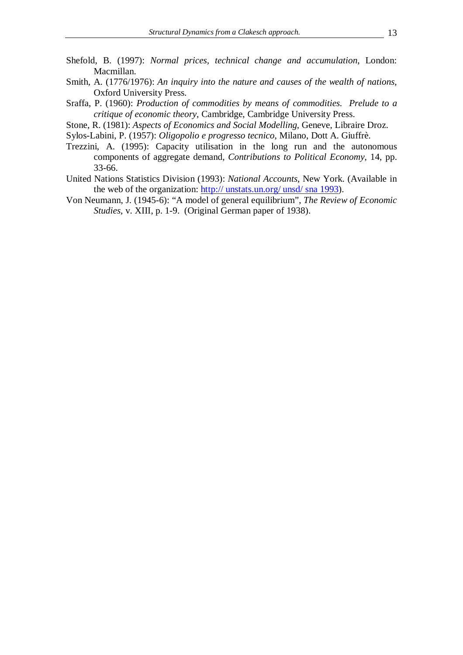- Shefold, B. (1997): *Normal prices, technical change and accumulation*, London: Macmillan.
- Smith, A. (1776/1976): *An inquiry into the nature and causes of the wealth of nations*, Oxford University Press.
- Sraffa, P. (1960): *Production of commodities by means of commodities. Prelude to a critique of economic theory*, Cambridge, Cambridge University Press.
- Stone, R. (1981): *Aspects of Economics and Social Modelling*, Geneve, Libraire Droz.
- Sylos-Labini, P. (1957): *Oligopolio e progresso tecnico*, Milano, Dott A. Giuffrè.
- Trezzini, A. (1995): Capacity utilisation in the long run and the autonomous components of aggregate demand, *Contributions to Political Economy*, 14, pp. 33-66.
- United Nations Statistics Division (1993): *National Accounts*, New York. (Available in the web of the organization: http:// unstats.un.org/ unsd/ sna 1993).
- Von Neumann, J. (1945-6): "A model of general equilibrium", *The Review of Economic Studies*, v. XIII, p. 1-9. (Original German paper of 1938).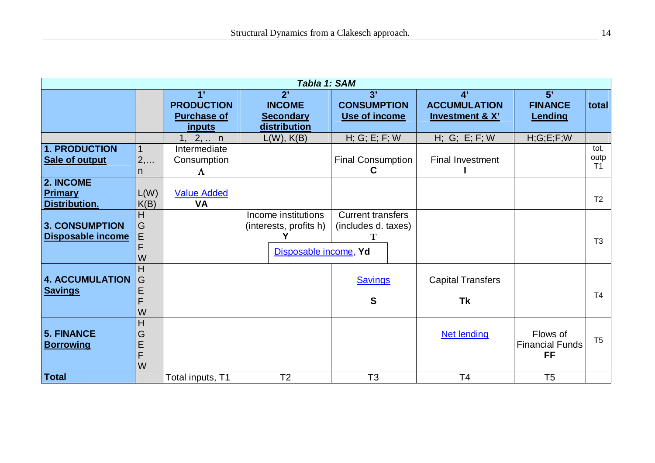| Tabla 1: SAM                                  |                       |                                                         |                                                                        |                                                 |                                                         |                                          |                                |  |  |
|-----------------------------------------------|-----------------------|---------------------------------------------------------|------------------------------------------------------------------------|-------------------------------------------------|---------------------------------------------------------|------------------------------------------|--------------------------------|--|--|
|                                               |                       | 1'<br><b>PRODUCTION</b><br><b>Purchase of</b><br>inputs | 2'<br><b>INCOME</b><br><b>Secondary</b><br>distribution                | 3'<br><b>CONSUMPTION</b><br>Use of income       | 4'<br><b>ACCUMULATION</b><br><b>Investment &amp; X'</b> | 5'<br><b>FINANCE</b><br>Lending          | total                          |  |  |
|                                               |                       | 1, 2,  n                                                | $L(W)$ , $K(B)$                                                        | H; G; E; F; W                                   | H; G; E; F; W                                           | H; G; E; F; W                            |                                |  |  |
| <b>1. PRODUCTION</b><br><b>Sale of output</b> | $2, \ldots$<br>n.     | Intermediate<br>Consumption<br>$\Lambda$                |                                                                        | <b>Final Consumption</b><br>C                   | <b>Final Investment</b>                                 |                                          | tot.<br>outp<br>T <sub>1</sub> |  |  |
| 2. INCOME<br><b>Primary</b><br>Distribution.  | L(W)<br>K(B)          | <b>Value Added</b><br><b>VA</b>                         |                                                                        |                                                 |                                                         |                                          | T <sub>2</sub>                 |  |  |
| 3. CONSUMPTION<br><b>Disposable income</b>    | H<br>G<br>E<br>W      |                                                         | Income institutions<br>(interests, profits h)<br>Disposable income, Yd | <b>Current transfers</b><br>(includes d. taxes) |                                                         |                                          | T <sub>3</sub>                 |  |  |
| <b>4. ACCUMULATION</b><br><b>Savings</b>      | Η<br>G<br>E<br>F<br>W |                                                         |                                                                        | <b>Savings</b><br>$\mathbf{s}$                  | <b>Capital Transfers</b><br><b>Tk</b>                   |                                          | T <sub>4</sub>                 |  |  |
| <b>5. FINANCE</b><br><b>Borrowing</b>         | Η<br>G<br>E<br>F<br>W |                                                         |                                                                        |                                                 | <b>Net lending</b>                                      | Flows of<br><b>Financial Funds</b><br>FF | T <sub>5</sub>                 |  |  |
| <b>Total</b>                                  |                       | Total inputs, T1                                        | T <sub>2</sub>                                                         | T <sub>3</sub>                                  | T <sub>4</sub>                                          | T <sub>5</sub>                           |                                |  |  |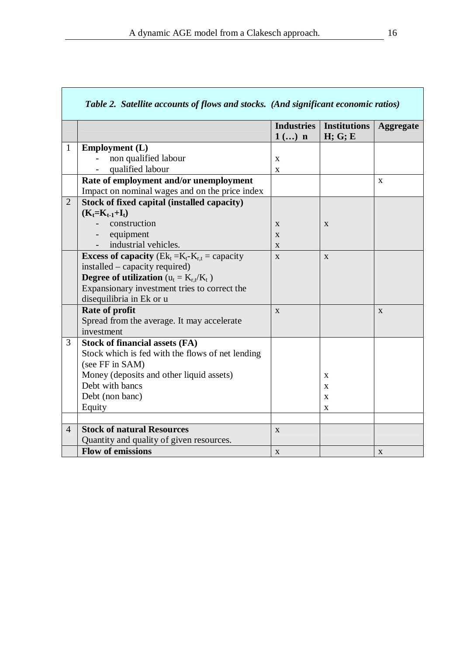|                | Table 2. Satellite accounts of flows and stocks. (And significant economic ratios) |                   |                     |                  |  |
|----------------|------------------------------------------------------------------------------------|-------------------|---------------------|------------------|--|
|                |                                                                                    | <b>Industries</b> | <b>Institutions</b> | <b>Aggregate</b> |  |
|                |                                                                                    | $1$ () n          | H; G; E             |                  |  |
| $\mathbf{1}$   | <b>Employment</b> (L)                                                              |                   |                     |                  |  |
|                | non qualified labour                                                               | $\mathbf X$       |                     |                  |  |
|                | qualified labour                                                                   | $\mathbf{x}$      |                     |                  |  |
|                | Rate of employment and/or unemployment                                             |                   |                     | X                |  |
|                | Impact on nominal wages and on the price index                                     |                   |                     |                  |  |
| $\overline{2}$ | Stock of fixed capital (installed capacity)                                        |                   |                     |                  |  |
|                | $(K_t=K_{t-1}+I_t)$                                                                |                   |                     |                  |  |
|                | construction                                                                       | X                 | X                   |                  |  |
|                | equipment<br>$\overline{\phantom{a}}$                                              | X                 |                     |                  |  |
|                | industrial vehicles.                                                               | X                 |                     |                  |  |
|                | <b>Excess of capacity</b> ( $Ek_t = K_t - K_{r,t} =$ capacity                      | X                 | X                   |                  |  |
|                | installed – capacity required)                                                     |                   |                     |                  |  |
|                | <b>Degree of utilization</b> ( $u_t = K_{r,t}/K_t$ )                               |                   |                     |                  |  |
|                | Expansionary investment tries to correct the                                       |                   |                     |                  |  |
|                | disequilibria in Ek or u                                                           |                   |                     |                  |  |
|                | Rate of profit                                                                     | X                 |                     | X                |  |
|                | Spread from the average. It may accelerate                                         |                   |                     |                  |  |
|                | investment                                                                         |                   |                     |                  |  |
| 3              | <b>Stock of financial assets (FA)</b>                                              |                   |                     |                  |  |
|                | Stock which is fed with the flows of net lending                                   |                   |                     |                  |  |
|                | (see FF in SAM)                                                                    |                   |                     |                  |  |
|                | Money (deposits and other liquid assets)                                           |                   | X                   |                  |  |
|                | Debt with bancs                                                                    |                   | X                   |                  |  |
|                | Debt (non banc)                                                                    |                   | X                   |                  |  |
|                | Equity                                                                             |                   | X                   |                  |  |
|                |                                                                                    |                   |                     |                  |  |
| $\overline{4}$ | <b>Stock of natural Resources</b>                                                  | $\mathbf{X}$      |                     |                  |  |
|                | Quantity and quality of given resources.                                           |                   |                     |                  |  |
|                | <b>Flow of emissions</b>                                                           | $\mathbf X$       |                     | $\mathbf X$      |  |